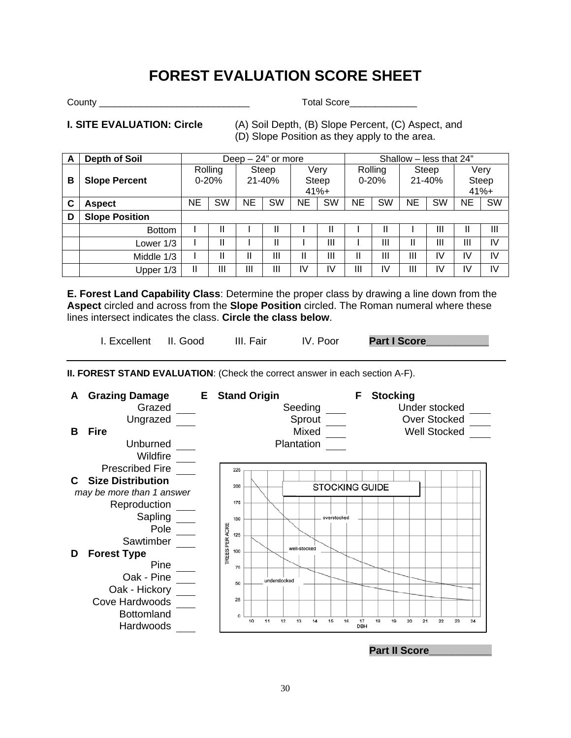# **FOREST EVALUATION SCORE SHEET**

County \_\_\_\_\_\_\_\_\_\_\_\_\_\_\_\_\_\_\_\_\_\_\_\_\_\_\_\_\_ Total Score\_\_\_\_\_\_\_\_\_\_\_\_\_

**I. SITE EVALUATION: Circle** (A) Soil Depth, (B) Slope Percent, (C) Aspect, and (D) Slope Position as they apply to the area.

| А | <b>Depth of Soil</b>  | Deep $-24$ " or more |    |                     |           |                          | Shallow - less that 24" |                      |           |                     |    |                          |    |
|---|-----------------------|----------------------|----|---------------------|-----------|--------------------------|-------------------------|----------------------|-----------|---------------------|----|--------------------------|----|
| В | <b>Slope Percent</b>  | Rolling<br>$0 - 20%$ |    | Steep<br>$21 - 40%$ |           | Very<br>Steep<br>$41% +$ |                         | Rolling<br>$0 - 20%$ |           | Steep<br>$21 - 40%$ |    | Very<br>Steep<br>$41% +$ |    |
| C | <b>Aspect</b>         | NE                   | SW | <b>NE</b>           | <b>SW</b> | ΝE                       | SW                      | NE                   | <b>SW</b> | ΝE                  | SW | NE                       | SW |
| D | <b>Slope Position</b> |                      |    |                     |           |                          |                         |                      |           |                     |    |                          |    |
|   | <b>Bottom</b>         |                      |    |                     |           |                          |                         |                      |           |                     | Ш  | Ш                        | Ш  |
|   | Lower 1/3             |                      | Ш  |                     | Ш         |                          | Ш                       |                      | Ш         | Ш                   | Ш  | Ш                        | IV |
|   | Middle 1/3            |                      |    |                     | Ш         | Ш                        | Ш                       | Ш                    | Ш         | Ш                   | I٧ | IV                       | IV |
|   | Upper 1/3             | Ш                    | Ш  | Ш                   | Ш         | I٧                       | I٧                      | Ш                    | IV        | Ш                   | ΙV | I٧                       | IV |

**E. Forest Land Capability Class**: Determine the proper class by drawing a line down from the **Aspect** circled and across from the **Slope Position** circled. The Roman numeral where these lines intersect indicates the class. **Circle the class below**.

I. Excellent II. Good III. Fair IV. Poor **Part I Score** 

**II. FOREST STAND EVALUATION**: (Check the correct answer in each section A-F).



## **Part II Score**